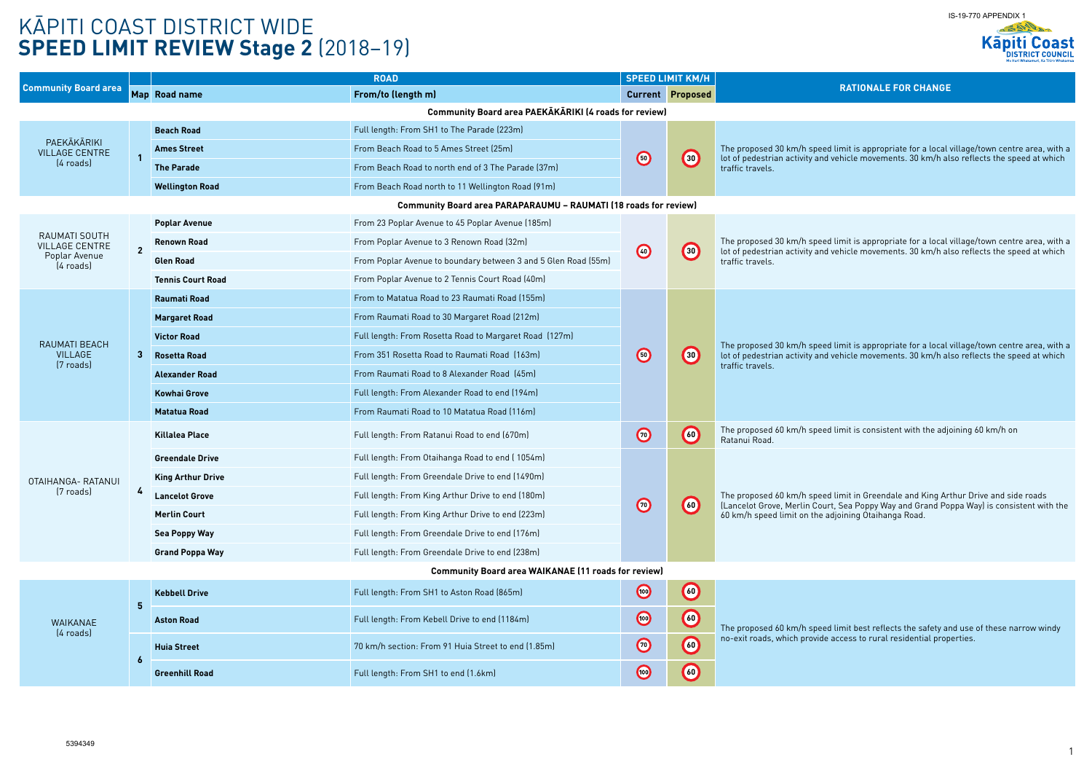The proposed 30 km/h speed limit is appropriate for a local village/town centre area, with a lot of pedestrian activity and vehicle movements. 30 km/h also reflects the speed at which

> ed limit is appropriate for a local village/town centre area, with a l d vehicle movements. 30 km/h also reflects the speed at which

| <b>Community Board area</b>                                          |                                                                         | <b>ROAD</b>              |                                                                |            | <b>SPEED LIMIT KM/H</b> |                                                                                                                                                 |  |
|----------------------------------------------------------------------|-------------------------------------------------------------------------|--------------------------|----------------------------------------------------------------|------------|-------------------------|-------------------------------------------------------------------------------------------------------------------------------------------------|--|
|                                                                      |                                                                         | Map Road name            | From/to (length m)                                             |            | <b>Current Proposed</b> | <b>RATIONALE FOR CHANGE</b>                                                                                                                     |  |
| <b>Community Board area PAEKĀKĀRIKI (4 roads for review)</b>         |                                                                         |                          |                                                                |            |                         |                                                                                                                                                 |  |
| PAEKĀKĀRIKI<br><b>VILLAGE CENTRE</b><br>$(4 \text{ roads})$          |                                                                         | <b>Beach Road</b>        | Full length: From SH1 to The Parade (223m)                     |            | $\bigcirc$              |                                                                                                                                                 |  |
|                                                                      |                                                                         | <b>Ames Street</b>       | From Beach Road to 5 Ames Street (25m)                         | $\bigodot$ |                         | The proposed 30 km/h speed limit is appropriate for a local<br>lot of pedestrian activity and vehicle movements. 30 km/h al                     |  |
|                                                                      |                                                                         | <b>The Parade</b>        | From Beach Road to north end of 3 The Parade (37m)             |            |                         | traffic travels.                                                                                                                                |  |
|                                                                      |                                                                         | <b>Wellington Road</b>   | From Beach Road north to 11 Wellington Road (91m)              |            |                         |                                                                                                                                                 |  |
|                                                                      | <b>Community Board area PARAPARAUMU - RAUMATI (18 roads for review)</b> |                          |                                                                |            |                         |                                                                                                                                                 |  |
| RAUMATI SOUTH<br><b>VILLAGE CENTRE</b><br>Poplar Avenue<br>(4 roads) |                                                                         | <b>Poplar Avenue</b>     | From 23 Poplar Avenue to 45 Poplar Avenue (185m)               |            |                         |                                                                                                                                                 |  |
|                                                                      | $\overline{2}$                                                          | <b>Renown Road</b>       | From Poplar Avenue to 3 Renown Road (32m)                      |            |                         | The proposed 30 km/h speed limit is appropriate for a local                                                                                     |  |
|                                                                      |                                                                         | <b>Glen Road</b>         | From Poplar Avenue to boundary between 3 and 5 Glen Road (55m) | $\bigcirc$ | $\left( 30 \right)$     | lot of pedestrian activity and vehicle movements. 30 km/h al<br>traffic travels.                                                                |  |
|                                                                      |                                                                         | <b>Tennis Court Road</b> | From Poplar Avenue to 2 Tennis Court Road (40m)                |            |                         |                                                                                                                                                 |  |
|                                                                      |                                                                         | <b>Raumati Road</b>      | From to Matatua Road to 23 Raumati Road (155m)                 |            | $\left( 30 \right)$     |                                                                                                                                                 |  |
|                                                                      |                                                                         | <b>Margaret Road</b>     | From Raumati Road to 30 Margaret Road (212m)                   |            |                         |                                                                                                                                                 |  |
| RAUMATI BEACH                                                        | 3                                                                       | <b>Victor Road</b>       | Full length: From Rosetta Road to Margaret Road (127m)         |            |                         | The proposed 30 km/h speed limit is appropriate for a local<br>lot of pedestrian activity and vehicle movements. 30 km/h al<br>traffic travels. |  |
| <b>VILLAGE</b>                                                       |                                                                         | <b>Rosetta Road</b>      | From 351 Rosetta Road to Raumati Road (163m)                   | $\bigcirc$ |                         |                                                                                                                                                 |  |
| [7 roads]                                                            |                                                                         | <b>Alexander Road</b>    | From Raumati Road to 8 Alexander Road (45m)                    |            |                         |                                                                                                                                                 |  |
|                                                                      |                                                                         | <b>Kowhai Grove</b>      | Full length: From Alexander Road to end (194m)                 |            |                         |                                                                                                                                                 |  |
|                                                                      |                                                                         | <b>Matatua Road</b>      | From Raumati Road to 10 Matatua Road (116m)                    |            |                         |                                                                                                                                                 |  |
|                                                                      |                                                                         | <b>Killalea Place</b>    | Full length: From Ratanui Road to end (670m)                   | $\bigcirc$ | $\bigcirc$              | The proposed 60 km/h speed limit is consistent with the adj<br>Ratanui Road.                                                                    |  |
|                                                                      |                                                                         | <b>Greendale Drive</b>   | Full length: From Otaihanga Road to end (1054m)                |            |                         |                                                                                                                                                 |  |
| OTAIHANGA- RATANUI                                                   |                                                                         | <b>King Arthur Drive</b> | Full length: From Greendale Drive to end (1490m)               |            |                         |                                                                                                                                                 |  |
| (7 roads)                                                            |                                                                         | <b>Lancelot Grove</b>    | Full length: From King Arthur Drive to end (180m)              | $\bigcirc$ | $\left(60\right)$       | The proposed 60 km/h speed limit in Greendale and King Ar<br>(Lancelot Grove, Merlin Court, Sea Poppy Way and Grand Po                          |  |
|                                                                      |                                                                         | <b>Merlin Court</b>      | Full length: From King Arthur Drive to end (223m)              |            |                         | 60 km/h speed limit on the adjoining Otaihanga Road.                                                                                            |  |
|                                                                      |                                                                         | <b>Sea Poppy Way</b>     | Full length: From Greendale Drive to end (176m)                |            |                         |                                                                                                                                                 |  |
|                                                                      |                                                                         | <b>Grand Poppa Way</b>   | Full length: From Greendale Drive to end (238m)                |            |                         |                                                                                                                                                 |  |
| <b>Community Board area WAIKANAE (11 roads for review)</b>           |                                                                         |                          |                                                                |            |                         |                                                                                                                                                 |  |
| WAIKANAE<br>$(4$ roads)                                              | 5                                                                       | <b>Kebbell Drive</b>     | Full length: From SH1 to Aston Road (865m)                     | $\bigcirc$ | $\bigcirc$              |                                                                                                                                                 |  |
|                                                                      |                                                                         | <b>Aston Road</b>        | Full length: From Kebell Drive to end (1184m)                  | $\bigcirc$ | $\bigcirc$              | The proposed 60 km/h speed limit best reflects the safety ar                                                                                    |  |
|                                                                      |                                                                         | <b>Huia Street</b>       | 70 km/h section: From 91 Huia Street to end (1.85m)            | $\bigcirc$ | $\bigodot$              | no-exit roads, which provide access to rural residential prop                                                                                   |  |
|                                                                      |                                                                         | <b>Greenhill Road</b>    | Full length: From SH1 to end (1.6km)                           | $\bigcirc$ | $\bigcirc$              |                                                                                                                                                 |  |

**Killalea Place** Full length: From Ratanui Road to end (670m) **<sup>70</sup> <sup>60</sup>** The proposed 60 km/h speed limit is consistent with the adjoining 60 km/h on

ed limit in Greendale and King Arthur Drive and side roads urt, Sea Poppy Way and Grand Poppa Way) is consistent with the adjoining Otaihanga Road.

ed limit best reflects the safety and use of these narrow windy e access to rural residential properties.

# KĀPITI COAST DISTRICT WIDE **SPEED LIMIT REVIEW Stage 2** (2018–19)



ed limit is appropriate for a local village/town centre area, with a d vehicle movements. 30 km/h also reflects the speed at which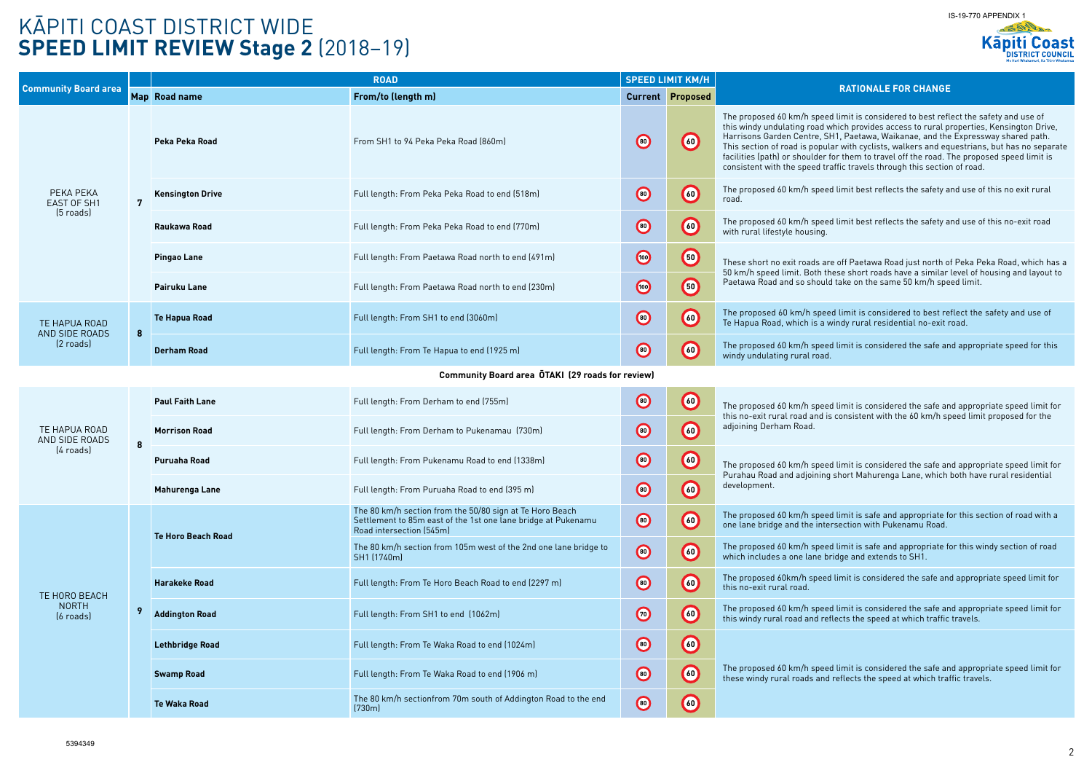### KĀPITI COAST DISTRICT WIDE **SPEED LIMIT REVIEW Stage 2** (2018–19)

### **RATIONALE FOR CHANGE**

ed limit is considered to best reflect the safety and use of which provides access to rural properties, Kensington Drive, SH1, Paetawa, Waikanae, and the Expressway shared path. Ilar with cyclists, walkers and equestrians, but has no separate for them to travel off the road. The proposed speed limit is raffic travels through this section of road.

ed limit best reflects the safety and use of this no exit rural

ed limit best reflects the safety and use of this no-exit road

re off Paetawa Road just north of Peka Peka Road, which has a these short roads have a similar level of housing and layout to Id take on the same 50 km/h speed limit.

ed limit is considered to best reflect the safety and use of windy rural residential no-exit road.

**Paul Faith Lane** Full length: From Derham to end (755m) **<sup>80</sup> <sup>60</sup>** The proposed 60 km/h speed limit is considered the safe and appropriate speed limit for is consistent with the 60 km/h speed limit proposed for the

ed limit is considered the safe and appropriate speed limit for g short Mahurenga Lane, which both have rural residential

 $80$  kmit is safe and appropriate for this section of road with a ersection with Pukenamu Road.

ed limit is safe and appropriate for this windy section of road bridge and extends to SH1.

**Addington Road** Full length: From SH1 to end (1062m) **<sup>70</sup> <sup>60</sup>** The proposed 60 km/h speed limit is considered the safe and appropriate speed limit for eflects the speed at which traffic travels.

ed limit is considered the safe and appropriate speed limit for d reflects the speed at which traffic travels.

**Derham Road** Full length: From Te Hapua to end (1925 m) **<sup>80</sup> <sup>60</sup>** The proposed 60 km/h speed limit is considered the safe and appropriate speed for this

|                                                         |                  | <b>ROAD</b>               |                                                                                                                                                       | <b>SPEED LIMIT KM/H</b> |                         |                                                                                                                                                                                                |  |
|---------------------------------------------------------|------------------|---------------------------|-------------------------------------------------------------------------------------------------------------------------------------------------------|-------------------------|-------------------------|------------------------------------------------------------------------------------------------------------------------------------------------------------------------------------------------|--|
| <b>Community Board area</b>                             |                  | Map Road name             | From/to (length m)                                                                                                                                    |                         | <b>Current Proposed</b> |                                                                                                                                                                                                |  |
| PEKA PEKA<br>EAST OF SH1<br>$(5$ roads)                 |                  | Peka Peka Road            | From SH1 to 94 Peka Peka Road (860m)                                                                                                                  | $\bigcirc$              | $\bigcirc$              | The proposed 60 km/h speed<br>this windy undulating road w<br>Harrisons Garden Centre, SI<br>This section of road is popul<br>facilities (path) or shoulder f<br>consistent with the speed tra |  |
|                                                         | $\overline{7}$   | <b>Kensington Drive</b>   | Full length: From Peka Peka Road to end (518m)                                                                                                        | $\bigcirc$              | 60                      | The proposed 60 km/h speed<br>road.                                                                                                                                                            |  |
|                                                         |                  | Raukawa Road              | Full length: From Peka Peka Road to end (770m)                                                                                                        | $\bigcirc$              | $\bigcirc$              | The proposed 60 km/h speed<br>with rural lifestyle housing.                                                                                                                                    |  |
|                                                         |                  | <b>Pingao Lane</b>        | Full length: From Paetawa Road north to end (491m)                                                                                                    | $\bigcirc$              | $\bigcirc$              | These short no exit roads ar<br>50 km/h speed limit. Both th                                                                                                                                   |  |
|                                                         |                  | <b>Pairuku Lane</b>       | Full length: From Paetawa Road north to end (230m)                                                                                                    | $\bigcirc$              | $\bigcirc$              | Paetawa Road and so should                                                                                                                                                                     |  |
| TE HAPUA ROAD<br>AND SIDE ROADS<br>$(2 \text{ roads})$  | $\boldsymbol{8}$ | <b>Te Hapua Road</b>      | Full length: From SH1 to end (3060m)                                                                                                                  | $\bigcirc$              | 60                      | The proposed 60 km/h spee<br>Te Hapua Road, which is a v                                                                                                                                       |  |
|                                                         |                  | <b>Derham Road</b>        | Full length: From Te Hapua to end (1925 m)                                                                                                            | $\bigcirc$              | $\bigcirc$              | The proposed 60 km/h speed<br>windy undulating rural road.                                                                                                                                     |  |
| <b>Community Board area OTAKI (29 roads for review)</b> |                  |                           |                                                                                                                                                       |                         |                         |                                                                                                                                                                                                |  |
| TE HAPUA ROAD<br>AND SIDE ROADS<br>$(4 \text{ roads})$  |                  | <b>Paul Faith Lane</b>    | Full length: From Derham to end (755m)                                                                                                                | $\bigcirc$              | $\bigcirc$              | The proposed 60 km/h speed<br>this no-exit rural road and is                                                                                                                                   |  |
|                                                         | 8                | <b>Morrison Road</b>      | Full length: From Derham to Pukenamau (730m)                                                                                                          | $\bigcirc$              | $\bigcirc$              | adjoining Derham Road.                                                                                                                                                                         |  |
|                                                         |                  | <b>Puruaha Road</b>       | Full length: From Pukenamu Road to end (1338m)                                                                                                        | $\bigcirc$              | 60)                     | The proposed 60 km/h speed<br>Purahau Road and adjoining                                                                                                                                       |  |
|                                                         |                  | <b>Mahurenga Lane</b>     | Full length: From Puruaha Road to end (395 m)                                                                                                         | $\bigcirc$              | $\bigcirc$              | development.                                                                                                                                                                                   |  |
|                                                         |                  | <b>Te Horo Beach Road</b> | The 80 km/h section from the 50/80 sign at Te Horo Beach<br>Settlement to 85m east of the 1st one lane bridge at Pukenamu<br>Road intersection (545m) | $\bigcirc$              | $\bigcirc$              | The proposed 60 km/h speed<br>one lane bridge and the inte                                                                                                                                     |  |
|                                                         |                  |                           | The 80 km/h section from 105m west of the 2nd one lane bridge to<br>SH1 (1740m)                                                                       | $\bigcirc$              | $\bigcirc$              | The proposed 60 km/h speed<br>which includes a one lane br                                                                                                                                     |  |
| TE HORO BEACH                                           |                  | <b>Harakeke Road</b>      | Full length: From Te Horo Beach Road to end (2297 m)                                                                                                  | $\bigcirc$              | $\bigcirc$              | The proposed 60km/h speed<br>this no-exit rural road.                                                                                                                                          |  |
| <b>NORTH</b><br>(6 roads)                               | 9                | <b>Addington Road</b>     | Full length: From SH1 to end (1062m)                                                                                                                  | $\bigcirc$              | $\bigcirc$              | The proposed 60 km/h speed<br>this windy rural road and ref                                                                                                                                    |  |
|                                                         |                  | <b>Lethbridge Road</b>    | Full length: From Te Waka Road to end (1024m)                                                                                                         | $\bigcirc$              | $\bigcirc$              |                                                                                                                                                                                                |  |
|                                                         |                  | <b>Swamp Road</b>         | Full length: From Te Waka Road to end (1906 m)                                                                                                        | $\bigcirc$              | $\bigcirc$              | The proposed 60 km/h speed<br>these windy rural roads and                                                                                                                                      |  |
|                                                         |                  | <b>Te Waka Road</b>       | The 80 km/h sectionfrom 70m south of Addington Road to the end<br>(730m)                                                                              | $\bigcirc$              | $\bigcirc$              |                                                                                                                                                                                                |  |

**Harakeke Road** Full length: From Te Horo Beach Road to end (2297 m) **<sup>80</sup> <sup>60</sup>** The proposed 60km/h speed limit is considered the safe and appropriate speed limit for

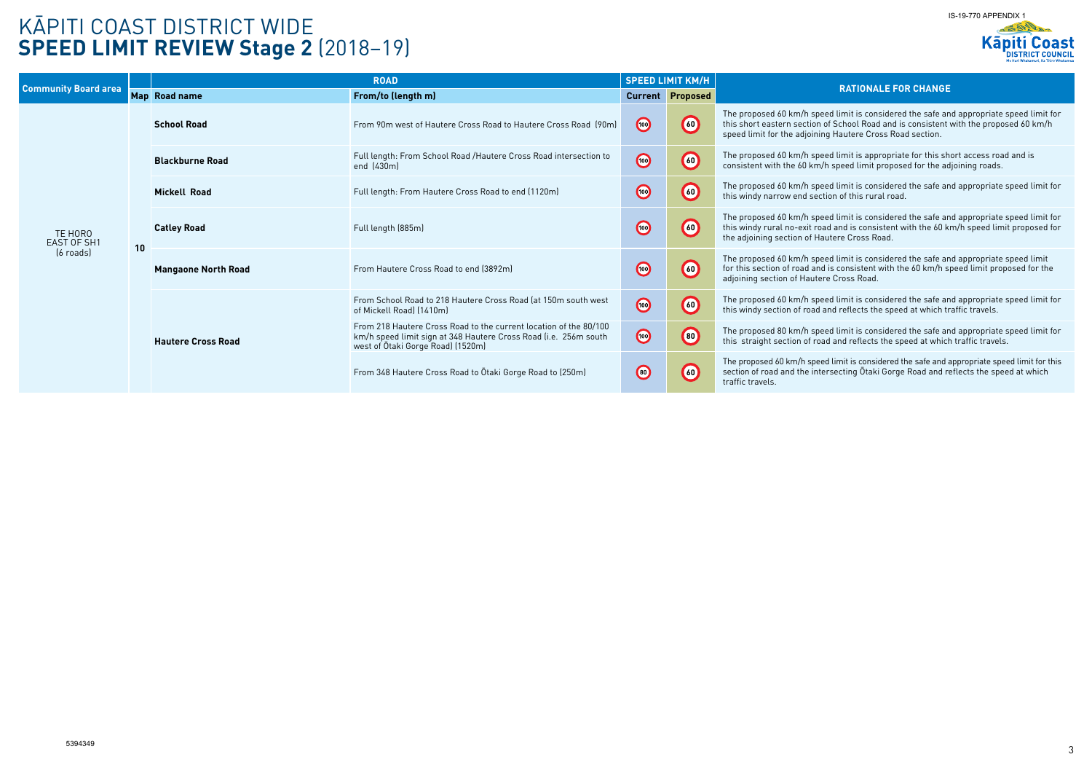# KĀPITI COAST DISTRICT WIDE **SPEED LIMIT REVIEW Stage 2** (2018–19)

### **RATIONALE FOR CHANGE**

ed limit is considered the safe and appropriate speed limit for of School Road and is consistent with the proposed 60 km/h g Hautere Cross Road section.

ed limit is appropriate for this short access road and is speed limit proposed for the adjoining roads.

**Mickell Road** Full length: From Hautere Cross Road to end (1120m) **<sup>60</sup>** The proposed 60 km/h speed limit is considered the safe and appropriate speed limit for ion of this rural road.

ed limit is considered the safe and appropriate speed limit for  $t$  and is consistent with the 60 km/h speed limit proposed for utere Cross Road.

ed limit is considered the safe and appropriate speed limit is consistent with the 60 km/h speed limit proposed for the e Cross Road.

ed limit is considered the safe and appropriate speed limit for and reflects the speed at which traffic travels.

 $8$  ed limit is considered the safe and appropriate speed limit for d and reflects the speed at which traffic travels.

d limit is considered the safe and appropriate speed limit for this rsecting Ōtaki Gorge Road and reflects the speed at which

| <b>Community Board area</b>                   |    | <b>ROAD</b>                |                                                                                                                                                                            | <b>SPEED LIMIT KM/H</b> |                         |                                                                                            |
|-----------------------------------------------|----|----------------------------|----------------------------------------------------------------------------------------------------------------------------------------------------------------------------|-------------------------|-------------------------|--------------------------------------------------------------------------------------------|
|                                               |    | Map Road name              | From/to (length m)                                                                                                                                                         |                         | <b>Current Proposed</b> |                                                                                            |
| TE HORO<br>EAST OF SH1<br>$(6 \text{ roads})$ |    | <b>School Road</b>         | From 90m west of Hautere Cross Road to Hautere Cross Road (90m)                                                                                                            | $\bigcirc$              | $\left( 60 \right)$     | The proposed 60 km/h spee<br>this short eastern section o<br>speed limit for the adjoining |
|                                               |    | <b>Blackburne Road</b>     | Full length: From School Road / Hautere Cross Road intersection to<br>end (430m)                                                                                           | $\bigcirc$              | $\bigcirc$              | The proposed 60 km/h spee<br>consistent with the 60 km/h                                   |
|                                               |    | <b>Mickell Road</b>        | Full length: From Hautere Cross Road to end (1120m)                                                                                                                        | $\bigcirc$              | $\bigodot$              | The proposed 60 km/h spee<br>this windy narrow end secti                                   |
|                                               | 10 | <b>Catley Road</b>         | Full length (885m)                                                                                                                                                         | $\bigcirc$              | $\circled{60}$          | The proposed 60 km/h spee<br>this windy rural no-exit road<br>the adjoining section of Hau |
|                                               |    | <b>Mangaone North Road</b> | From Hautere Cross Road to end (3892m)                                                                                                                                     | $\bigcirc$              | $\bigcirc$              | The proposed 60 km/h spee<br>for this section of road and<br>adjoining section of Hauter   |
|                                               |    |                            | From School Road to 218 Hautere Cross Road (at 150m south west<br>of Mickell Road) (1410m)                                                                                 | $\bigcirc$              | $\bigcirc$              | The proposed 60 km/h spee<br>this windy section of road a                                  |
|                                               |    | <b>Hautere Cross Road</b>  | From 218 Hautere Cross Road to the current location of the 80/100<br>km/h speed limit sign at 348 Hautere Cross Road (i.e. 256m south<br>west of Otaki Gorge Road) (1520m) | $\bigcirc$              | $\bigcirc$              | The proposed 80 km/h spee<br>this straight section of road                                 |
|                                               |    |                            | From 348 Hautere Cross Road to Otaki Gorge Road to (250m)                                                                                                                  | $\bigcirc$              | $\bigcirc$              | The proposed 60 km/h speed<br>section of road and the inter<br>traffic travels.            |